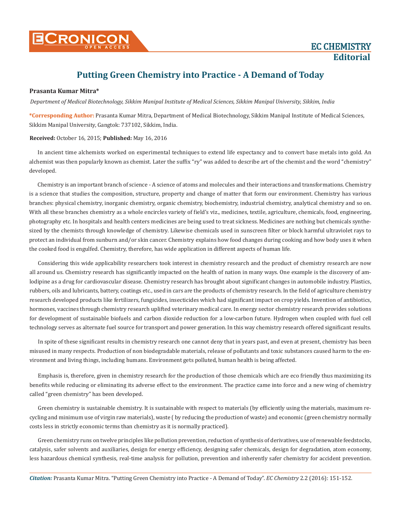

## **Putting Green Chemistry into Practice - A Demand of Today**

## **Prasanta Kumar Mitra\***

*Department of Medical Biotechnology, Sikkim Manipal Institute of Medical Sciences, Sikkim Manipal University, Sikkim, India*

**\*Corresponding Author:** Prasanta Kumar Mitra, Department of Medical Biotechnology, Sikkim Manipal Institute of Medical Sciences, Sikkim Manipal University, Gangtok: 737102, Sikkim, India.

## **Received:** October 16, 2015; **Published:** May 16, 2016

In ancient time alchemists worked on experimental techniques to extend life expectancy and to convert base metals into gold. An alchemist was then popularly known as chemist. Later the suffix "ry" was added to describe art of the chemist and the word "chemistry" developed.

Chemistry is an important branch of science - A science of atoms and molecules and their interactions and transformations. Chemistry is a science that studies the composition, structure, property and change of matter that form our environment. Chemistry has various branches: physical chemistry, inorganic chemistry, organic chemistry, biochemistry, industrial chemistry, analytical chemistry and so on. With all these branches chemistry as a whole encircles variety of field's viz., medicines, textile, agriculture, chemicals, food, engineering, photography etc. In hospitals and health centers medicines are being used to treat sickness. Medicines are nothing but chemicals synthesized by the chemists through knowledge of chemistry. Likewise chemicals used in sunscreen filter or block harmful ultraviolet rays to protect an individual from sunburn and/or skin cancer. Chemistry explains how food changes during cooking and how body uses it when the cooked food is engulfed. Chemistry, therefore, has wide application in different aspects of human life.

Considering this wide applicability researchers took interest in chemistry research and the product of chemistry research are now all around us. Chemistry research has significantly impacted on the health of nation in many ways. One example is the discovery of amlodipine as a drug for cardiovascular disease. Chemistry research has brought about significant changes in automobile industry. Plastics, rubbers, oils and lubricants, battery, coatings etc., used in cars are the products of chemistry research. In the field of agriculture chemistry research developed products like fertilizers, fungicides, insecticides which had significant impact on crop yields. Invention of antibiotics, hormones, vaccines through chemistry research uplifted veterinary medical care. In energy sector chemistry research provides solutions for development of sustainable biofuels and carbon dioxide reduction for a low-carbon future. Hydrogen when coupled with fuel cell technology serves as alternate fuel source for transport and power generation. In this way chemistry research offered significant results.

In spite of these significant results in chemistry research one cannot deny that in years past, and even at present, chemistry has been misused in many respects. Production of non biodegradable materials, release of pollutants and toxic substances caused harm to the environment and living things, including humans. Environment gets polluted, human health is being affected.

Emphasis is, therefore, given in chemistry research for the production of those chemicals which are eco friendly thus maximizing its benefits while reducing or eliminating its adverse effect to the environment. The practice came into force and a new wing of chemistry called "green chemistry" has been developed.

Green chemistry is sustainable chemistry. It is sustainable with respect to materials (by efficiently using the materials, maximum recycling and minimum use of virgin raw materials), waste ( by reducing the production of waste) and economic (green chemistry normally costs less in strictly economic terms than chemistry as it is normally practiced).

Green chemistry runs on twelve principles like pollution prevention, reduction of synthesis of derivatives, use of renewable feedstocks, catalysis, safer solvents and auxiliaries, design for energy efficiency, designing safer chemicals, design for degradation, atom economy, less hazardous chemical synthesis, real-time analysis for pollution, prevention and inherently safer chemistry for accident prevention.